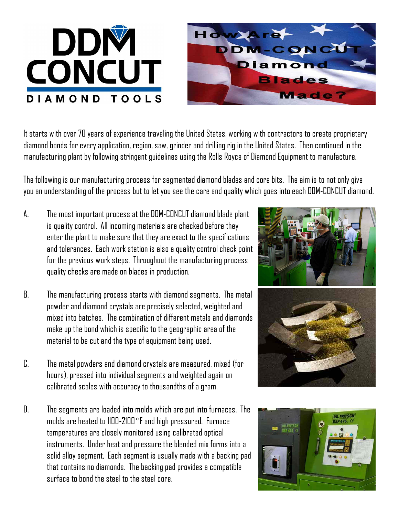



It starts with over 70 years of experience traveling the United States, working with contractors to create proprietary diamond bonds for every application, region, saw, grinder and drilling rig in the United States. Then continued in the manufacturing plant by following stringent guidelines using the Rolls Royce of Diamond Equipment to manufacture.

The following is our manufacturing process for segmented diamond blades and core bits. The aim is to not only give you an understanding of the process but to let you see the care and quality which goes into each DDM-CONCUT diamond.

- A. The most important process at the DDM-CONCUT diamond blade plant is quality control. All incoming materials are checked before they enter the plant to make sure that they are exact to the specifications and tolerances. Each work station is also a quality control check point for the previous work steps. Throughout the manufacturing process quality checks are made on blades in production.
- B. The manufacturing process starts with diamond segments. The metal powder and diamond crystals are precisely selected, weighted and mixed into batches. The combination of different metals and diamonds make up the bond which is specific to the geographic area of the material to be cut and the type of equipment being used.
- C. The metal powders and diamond crystals are measured, mixed (for hours), pressed into individual segments and weighted again on calibrated scales with accuracy to thousandths of a gram.
- D. The segments are loaded into molds which are put into furnaces. The molds are heated to 1100-2100 $\degree$ F and high pressured. Furnace temperatures are closely monitored using calibrated optical instruments. Under heat and pressure the blended mix forms into a solid alloy segment. Each segment is usually made with a backing pad that contains no diamonds. The backing pad provides a compatible surface to bond the steel to the steel core.